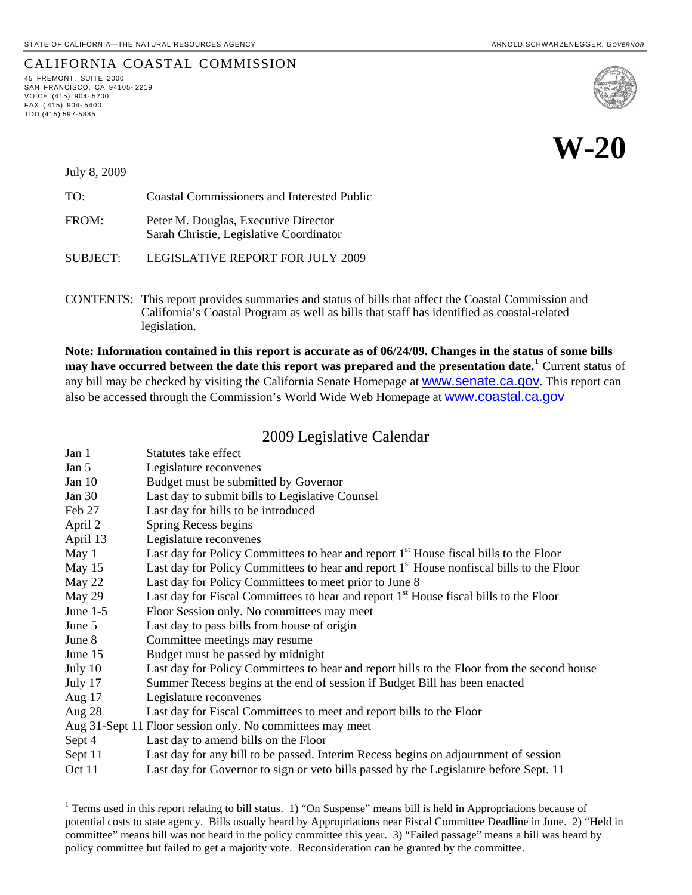CALIFORNIA COASTAL COMMISSION

# **W-20**

July 8, 2009

45 FREMONT, SUITE 2000 SAN FRANCISCO, CA 94105- 2219 VOICE (415) 904- 5200  $FAX$  (415) 904-5400 TDD (415) 597-5885

l

TO: Coastal Commissioners and Interested Public FROM: Peter M. Douglas, Executive Director Sarah Christie, Legislative Coordinator

SUBJECT: LEGISLATIVE REPORT FOR JULY 2009

CONTENTS: This report provides summaries and status of bills that affect the Coastal Commission and California's Coastal Program as well as bills that staff has identified as coastal-related legislation.

**Note: Information contained in this report is accurate as of 06/24/09. Changes in the status of some bills may have occurred between the date this report was prepared and the presentation date.[1](#page-0-0)** Current status of any bill may be checked by visiting the California Senate Homepage at **WWW.Senate.ca.gov**. This report can also be accessed through the Commission's World Wide Web Homepage at [www.coastal.ca.gov](http://www.coastal.ca.gov/)

# 2009 Legislative Calendar

| Jan 1                                                     | Statutes take effect                                                                                 |
|-----------------------------------------------------------|------------------------------------------------------------------------------------------------------|
| Jan 5                                                     | Legislature reconvenes                                                                               |
| Jan $10$                                                  | Budget must be submitted by Governor                                                                 |
| Jan $30$                                                  | Last day to submit bills to Legislative Counsel                                                      |
| Feb 27                                                    | Last day for bills to be introduced                                                                  |
| April 2                                                   | Spring Recess begins                                                                                 |
| April 13                                                  | Legislature reconvenes                                                                               |
| May 1                                                     | Last day for Policy Committees to hear and report 1 <sup>st</sup> House fiscal bills to the Floor    |
| May 15                                                    | Last day for Policy Committees to hear and report 1 <sup>st</sup> House nonfiscal bills to the Floor |
| May 22                                                    | Last day for Policy Committees to meet prior to June 8                                               |
| May 29                                                    | Last day for Fiscal Committees to hear and report 1 <sup>st</sup> House fiscal bills to the Floor    |
| June $1-5$                                                | Floor Session only. No committees may meet                                                           |
| June 5                                                    | Last day to pass bills from house of origin                                                          |
| June 8                                                    | Committee meetings may resume                                                                        |
| June 15                                                   | Budget must be passed by midnight                                                                    |
| July 10                                                   | Last day for Policy Committees to hear and report bills to the Floor from the second house           |
| July 17                                                   | Summer Recess begins at the end of session if Budget Bill has been enacted                           |
| Aug $17$                                                  | Legislature reconvenes                                                                               |
| Aug $28$                                                  | Last day for Fiscal Committees to meet and report bills to the Floor                                 |
| Aug 31-Sept 11 Floor session only. No committees may meet |                                                                                                      |
| Sept 4                                                    | Last day to amend bills on the Floor                                                                 |
| Sept 11                                                   | Last day for any bill to be passed. Interim Recess begins on adjournment of session                  |
| Oct 11                                                    | Last day for Governor to sign or veto bills passed by the Legislature before Sept. 11                |

<span id="page-0-0"></span><sup>&</sup>lt;sup>1</sup> Terms used in this report relating to bill status. 1) "On Suspense" means bill is held in Appropriations because of potential costs to state agency. Bills usually heard by Appropriations near Fiscal Committee Deadline in June. 2) "Held in committee" means bill was not heard in the policy committee this year. 3) "Failed passage" means a bill was heard by policy committee but failed to get a majority vote. Reconsideration can be granted by the committee.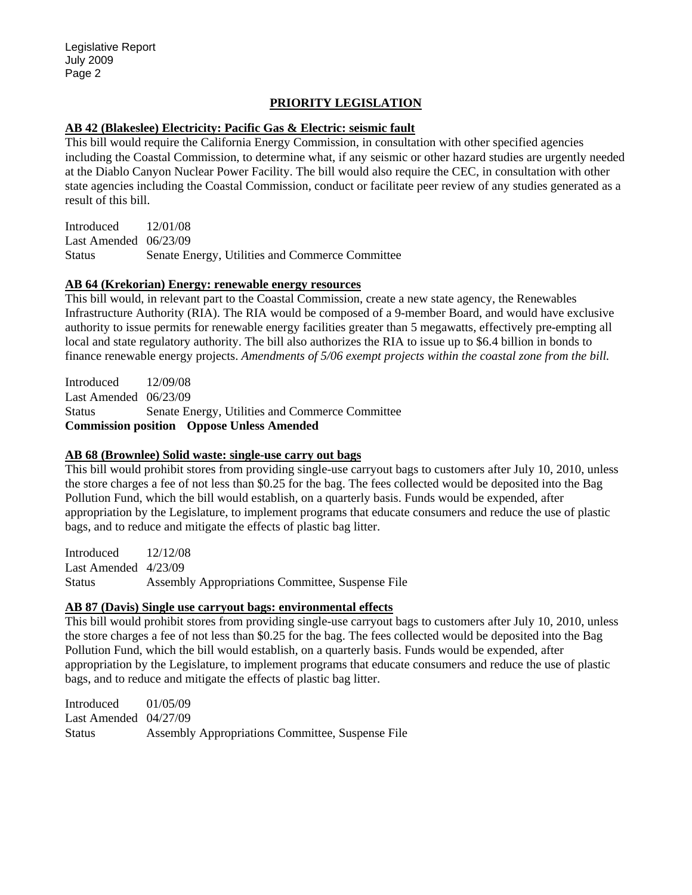### **PRIORITY LEGISLATION**

#### **AB 42 (Blakeslee) Electricity: Pacific Gas & Electric: seismic fault**

This bill would require the California Energy Commission, in consultation with other specified agencies including the Coastal Commission, to determine what, if any seismic or other hazard studies are urgently needed at the Diablo Canyon Nuclear Power Facility. The bill would also require the CEC, in consultation with other state agencies including the Coastal Commission, conduct or facilitate peer review of any studies generated as a result of this bill.

Introduced 12/01/08 Last Amended 06/23/09 Status Senate Energy, Utilities and Commerce Committee

#### **AB 64 (Krekorian) Energy: renewable energy resources**

This bill would, in relevant part to the Coastal Commission, create a new state agency, the Renewables Infrastructure Authority (RIA). The RIA would be composed of a 9-member Board, and would have exclusive authority to issue permits for renewable energy facilities greater than 5 megawatts, effectively pre-empting all local and state regulatory authority. The bill also authorizes the RIA to issue up to \$6.4 billion in bonds to finance renewable energy projects. *Amendments of 5/06 exempt projects within the coastal zone from the bill.* 

Introduced 12/09/08 Last Amended 06/23/09 Status Senate Energy, Utilities and Commerce Committee **Commission position Oppose Unless Amended** 

#### **AB 68 (Brownlee) Solid waste: single-use carry out bags**

This bill would prohibit stores from providing single-use carryout bags to customers after July 10, 2010, unless the store charges a fee of not less than \$0.25 for the bag. The fees collected would be deposited into the Bag Pollution Fund, which the bill would establish, on a quarterly basis. Funds would be expended, after appropriation by the Legislature, to implement programs that educate consumers and reduce the use of plastic bags, and to reduce and mitigate the effects of plastic bag litter.

Introduced 12/12/08 Last Amended 4/23/09 Status Assembly Appropriations Committee, Suspense File

#### **AB 87 (Davis) Single use carryout bags: environmental effects**

This bill would prohibit stores from providing single-use carryout bags to customers after July 10, 2010, unless the store charges a fee of not less than \$0.25 for the bag. The fees collected would be deposited into the Bag Pollution Fund, which the bill would establish, on a quarterly basis. Funds would be expended, after appropriation by the Legislature, to implement programs that educate consumers and reduce the use of plastic bags, and to reduce and mitigate the effects of plastic bag litter.

Introduced 01/05/09 Last Amended 04/27/09 Status Assembly Appropriations Committee, Suspense File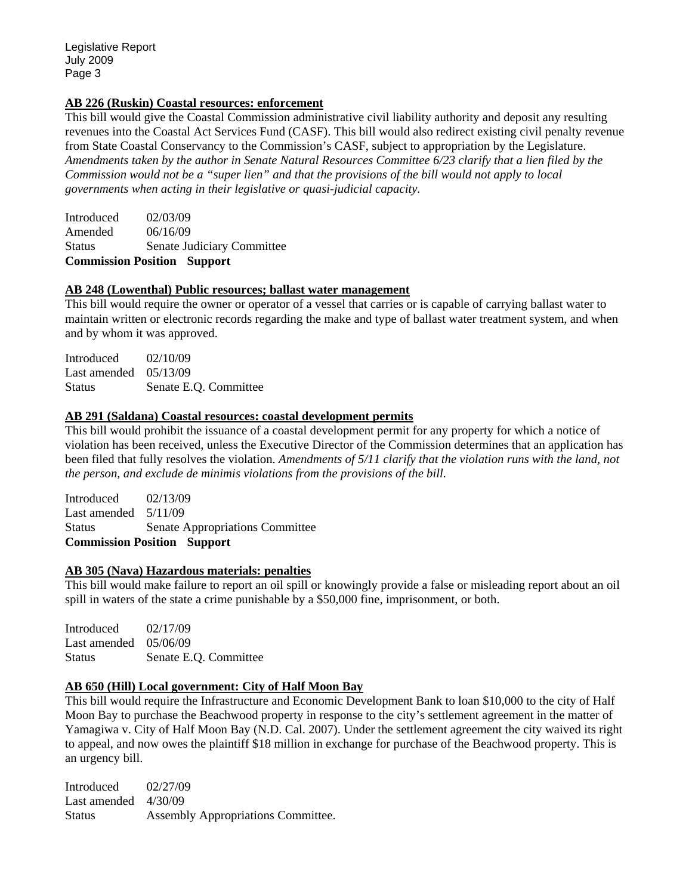#### **AB 226 (Ruskin) Coastal resources: enforcement**

This bill would give the Coastal Commission administrative civil liability authority and deposit any resulting revenues into the Coastal Act Services Fund (CASF). This bill would also redirect existing civil penalty revenue from State Coastal Conservancy to the Commission's CASF, subject to appropriation by the Legislature. *Amendments taken by the author in Senate Natural Resources Committee 6/23 clarify that a lien filed by the Commission would not be a "super lien" and that the provisions of the bill would not apply to local governments when acting in their legislative or quasi-judicial capacity.* 

Introduced 02/03/09 Amended 06/16/09 Status Senate Judiciary Committee **Commission Position Support** 

#### **AB 248 (Lowenthal) Public resources; ballast water management**

This bill would require the owner or operator of a vessel that carries or is capable of carrying ballast water to maintain written or electronic records regarding the make and type of ballast water treatment system, and when and by whom it was approved.

Introduced 02/10/09 Last amended 05/13/09 Status Senate E.Q. Committee

#### **AB 291 (Saldana) Coastal resources: coastal development permits**

This bill would prohibit the issuance of a coastal development permit for any property for which a notice of violation has been received, unless the Executive Director of the Commission determines that an application has been filed that fully resolves the violation. *Amendments of 5/11 clarify that the violation runs with the land, not the person, and exclude de minimis violations from the provisions of the bill.* 

Introduced 02/13/09 Last amended 5/11/09 Status Senate Appropriations Committee **Commission Position Support** 

#### **AB 305 (Nava) Hazardous materials: penalties**

This bill would make failure to report an oil spill or knowingly provide a false or misleading report about an oil spill in waters of the state a crime punishable by a \$50,000 fine, imprisonment, or both.

Introduced 02/17/09 Last amended 05/06/09 Status Senate E.Q. Committee

#### **AB 650 (Hill) Local government: City of Half Moon Bay**

This bill would require the Infrastructure and Economic Development Bank to loan \$10,000 to the city of Half Moon Bay to purchase the Beachwood property in response to the city's settlement agreement in the matter of Yamagiwa v. City of Half Moon Bay (N.D. Cal. 2007). Under the settlement agreement the city waived its right to appeal, and now owes the plaintiff \$18 million in exchange for purchase of the Beachwood property. This is an urgency bill.

Introduced 02/27/09 Last amended  $4/30/09$ Status Assembly Appropriations Committee.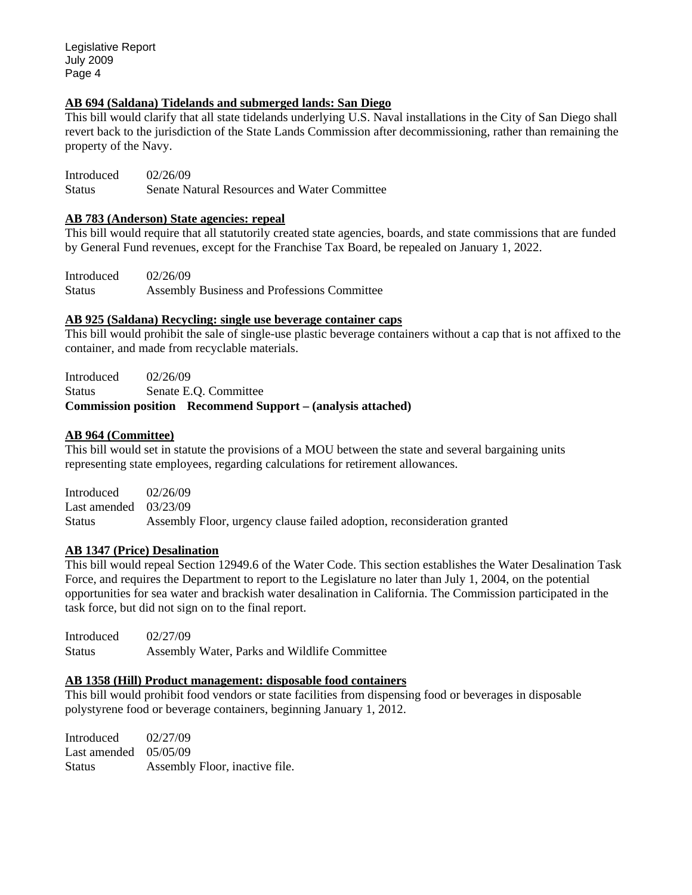Legislative Report July 2009 Page 4

#### **AB 694 (Saldana) Tidelands and submerged lands: San Diego**

This bill would clarify that all state tidelands underlying U.S. Naval installations in the City of San Diego shall revert back to the jurisdiction of the State Lands Commission after decommissioning, rather than remaining the property of the Navy.

Introduced 02/26/09 Status Senate Natural Resources and Water Committee

#### **AB 783 (Anderson) State agencies: repeal**

This bill would require that all statutorily created state agencies, boards, and state commissions that are funded by General Fund revenues, except for the Franchise Tax Board, be repealed on January 1, 2022.

Introduced 02/26/09 Status Assembly Business and Professions Committee

#### **AB 925 (Saldana) Recycling: single use beverage container caps**

This bill would prohibit the sale of single-use plastic beverage containers without a cap that is not affixed to the container, and made from recyclable materials.

Introduced 02/26/09 Status Senate E.Q. Committee **Commission position Recommend Support – (analysis attached)** 

#### **AB 964 (Committee)**

This bill would set in statute the provisions of a MOU between the state and several bargaining units representing state employees, regarding calculations for retirement allowances.

Introduced 02/26/09 Last amended 03/23/09 Status Assembly Floor, urgency clause failed adoption, reconsideration granted

#### **AB 1347 (Price) Desalination**

This bill would repeal Section 12949.6 of the Water Code. This section establishes the Water Desalination Task Force, and requires the Department to report to the Legislature no later than July 1, 2004, on the potential opportunities for sea water and brackish water desalination in California. The Commission participated in the task force, but did not sign on to the final report.

Introduced 02/27/09 Status Assembly Water, Parks and Wildlife Committee

### **AB 1358 (Hill) Product management: disposable food containers**

This bill would prohibit food vendors or state facilities from dispensing food or beverages in disposable polystyrene food or beverage containers, beginning January 1, 2012.

Introduced 02/27/09 Last amended 05/05/09 Status Assembly Floor, inactive file.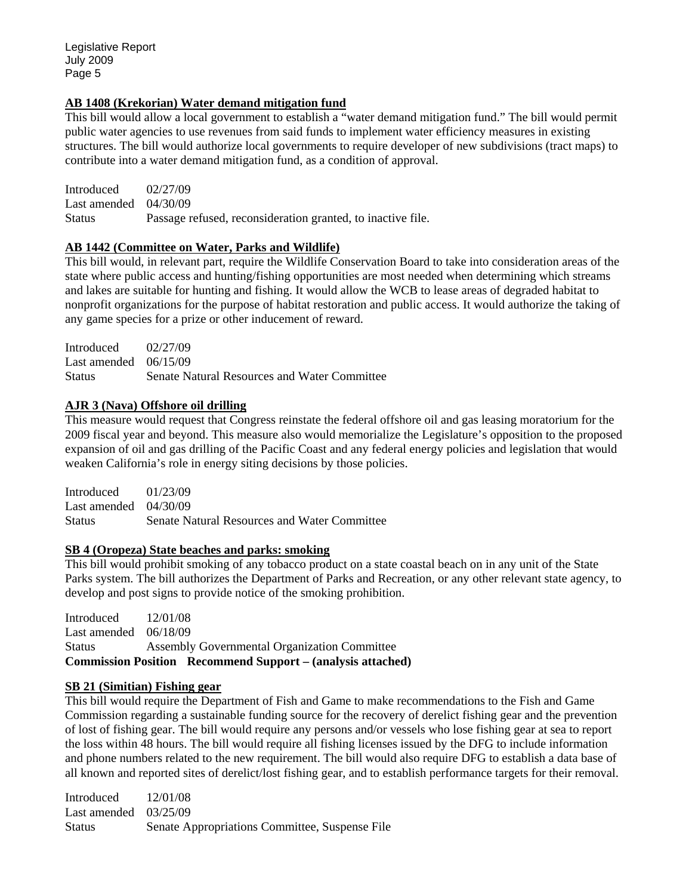#### **AB 1408 (Krekorian) Water demand mitigation fund**

This bill would allow a local government to establish a "water demand mitigation fund." The bill would permit public water agencies to use revenues from said funds to implement water efficiency measures in existing structures. The bill would authorize local governments to require developer of new subdivisions (tract maps) to contribute into a water demand mitigation fund, as a condition of approval.

Introduced 02/27/09 Last amended 04/30/09 Status Passage refused, reconsideration granted, to inactive file.

#### **AB 1442 (Committee on Water, Parks and Wildlife)**

This bill would, in relevant part, require the Wildlife Conservation Board to take into consideration areas of the state where public access and hunting/fishing opportunities are most needed when determining which streams and lakes are suitable for hunting and fishing. It would allow the WCB to lease areas of degraded habitat to nonprofit organizations for the purpose of habitat restoration and public access. It would authorize the taking of any game species for a prize or other inducement of reward.

| Introduced              | 02/27/09                                     |
|-------------------------|----------------------------------------------|
| Last amended $06/15/09$ |                                              |
| <b>Status</b>           | Senate Natural Resources and Water Committee |

#### **AJR 3 (Nava) Offshore oil drilling**

This measure would request that Congress reinstate the federal offshore oil and gas leasing moratorium for the 2009 fiscal year and beyond. This measure also would memorialize the Legislature's opposition to the proposed expansion of oil and gas drilling of the Pacific Coast and any federal energy policies and legislation that would weaken California's role in energy siting decisions by those policies.

Introduced 01/23/09 Last amended 04/30/09 Status Senate Natural Resources and Water Committee

#### **SB 4 (Oropeza) State beaches and parks: smoking**

This bill would prohibit smoking of any tobacco product on a state coastal beach on in any unit of the State Parks system. The bill authorizes the Department of Parks and Recreation, or any other relevant state agency, to develop and post signs to provide notice of the smoking prohibition.

Introduced 12/01/08 Last amended 06/18/09 Status Assembly Governmental Organization Committee **Commission Position Recommend Support – (analysis attached)** 

#### **SB 21 (Simitian) Fishing gear**

This bill would require the Department of Fish and Game to make recommendations to the Fish and Game Commission regarding a sustainable funding source for the recovery of derelict fishing gear and the prevention of lost of fishing gear. The bill would require any persons and/or vessels who lose fishing gear at sea to report the loss within 48 hours. The bill would require all fishing licenses issued by the DFG to include information and phone numbers related to the new requirement. The bill would also require DFG to establish a data base of all known and reported sites of derelict/lost fishing gear, and to establish performance targets for their removal.

Introduced 12/01/08 Last amended 03/25/09 Status Senate Appropriations Committee, Suspense File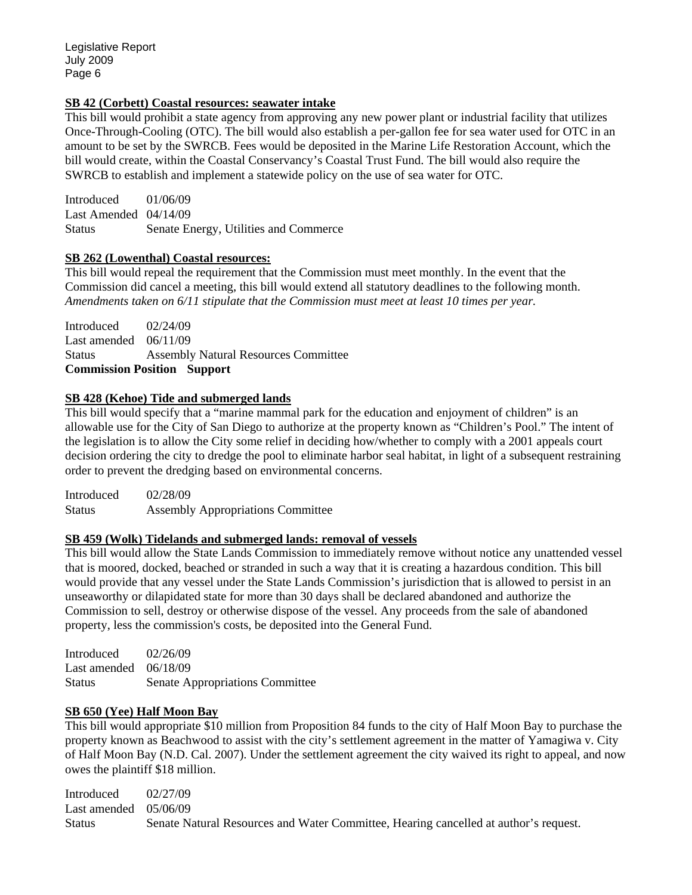#### **SB 42 (Corbett) Coastal resources: seawater intake**

This bill would prohibit a state agency from approving any new power plant or industrial facility that utilizes Once-Through-Cooling (OTC). The bill would also establish a per-gallon fee for sea water used for OTC in an amount to be set by the SWRCB. Fees would be deposited in the Marine Life Restoration Account, which the bill would create, within the Coastal Conservancy's Coastal Trust Fund. The bill would also require the SWRCB to establish and implement a statewide policy on the use of sea water for OTC.

Introduced 01/06/09 Last Amended 04/14/09 Status Senate Energy, Utilities and Commerce

#### **SB 262 (Lowenthal) Coastal resources:**

This bill would repeal the requirement that the Commission must meet monthly. In the event that the Commission did cancel a meeting, this bill would extend all statutory deadlines to the following month. *Amendments taken on 6/11 stipulate that the Commission must meet at least 10 times per year.*

Introduced 02/24/09 Last amended 06/11/09 Status Assembly Natural Resources Committee **Commission Position Support** 

#### **SB 428 (Kehoe) Tide and submerged lands**

This bill would specify that a "marine mammal park for the education and enjoyment of children" is an allowable use for the City of San Diego to authorize at the property known as "Children's Pool." The intent of the legislation is to allow the City some relief in deciding how/whether to comply with a 2001 appeals court decision ordering the city to dredge the pool to eliminate harbor seal habitat, in light of a subsequent restraining order to prevent the dredging based on environmental concerns.

Introduced 02/28/09 Status Assembly Appropriations Committee

#### **SB 459 (Wolk) Tidelands and submerged lands: removal of vessels**

This bill would allow the State Lands Commission to immediately remove without notice any unattended vessel that is moored, docked, beached or stranded in such a way that it is creating a hazardous condition. This bill would provide that any vessel under the State Lands Commission's jurisdiction that is allowed to persist in an unseaworthy or dilapidated state for more than 30 days shall be declared abandoned and authorize the Commission to sell, destroy or otherwise dispose of the vessel. Any proceeds from the sale of abandoned property, less the commission's costs, be deposited into the General Fund.

Introduced 02/26/09 Last amended 06/18/09 Status Senate Appropriations Committee

#### **SB 650 (Yee) Half Moon Bay**

This bill would appropriate \$10 million from Proposition 84 funds to the city of Half Moon Bay to purchase the property known as Beachwood to assist with the city's settlement agreement in the matter of Yamagiwa v. City of Half Moon Bay (N.D. Cal. 2007). Under the settlement agreement the city waived its right to appeal, and now owes the plaintiff \$18 million.

Introduced 02/27/09 Last amended 05/06/09 Status Senate Natural Resources and Water Committee, Hearing cancelled at author's request.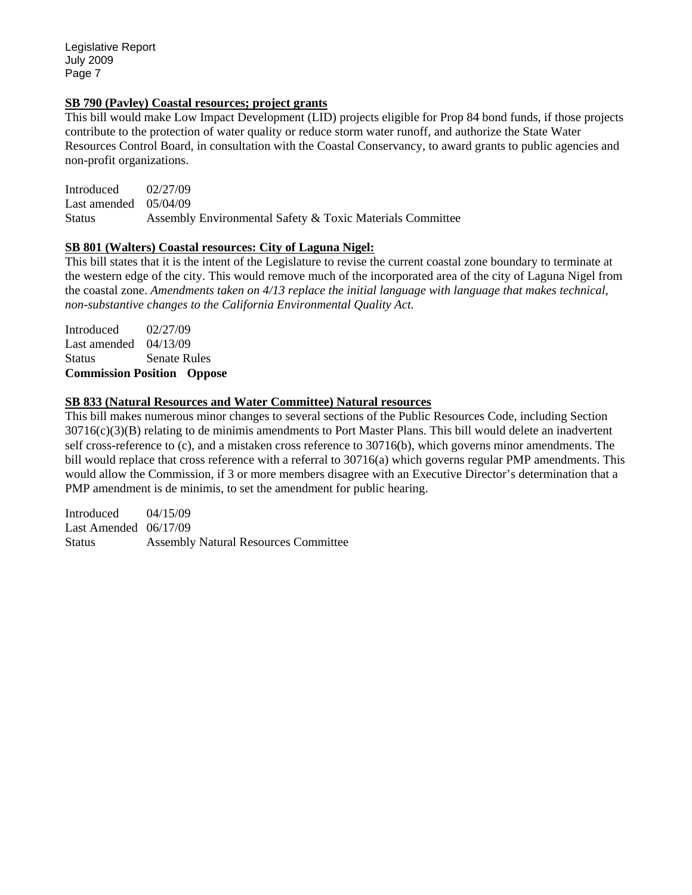Legislative Report July 2009 Page 7

#### **SB 790 (Pavley) Coastal resources; project grants**

This bill would make Low Impact Development (LID) projects eligible for Prop 84 bond funds, if those projects contribute to the protection of water quality or reduce storm water runoff, and authorize the State Water Resources Control Board, in consultation with the Coastal Conservancy, to award grants to public agencies and non-profit organizations.

Introduced 02/27/09 Last amended 05/04/09 Status Assembly Environmental Safety & Toxic Materials Committee

#### **SB 801 (Walters) Coastal resources: City of Laguna Nigel:**

This bill states that it is the intent of the Legislature to revise the current coastal zone boundary to terminate at the western edge of the city. This would remove much of the incorporated area of the city of Laguna Nigel from the coastal zone. *Amendments taken on 4/13 replace the initial language with language that makes technical, non-substantive changes to the California Environmental Quality Act.* 

Introduced 02/27/09 Last amended 04/13/09 Status Senate Rules **Commission Position Oppose** 

#### **SB 833 (Natural Resources and Water Committee) Natural resources**

This bill makes numerous minor changes to several sections of the Public Resources Code, including Section 30716(c)(3)(B) relating to de minimis amendments to Port Master Plans. This bill would delete an inadvertent self cross-reference to (c), and a mistaken cross reference to 30716(b), which governs minor amendments. The bill would replace that cross reference with a referral to 30716(a) which governs regular PMP amendments. This would allow the Commission, if 3 or more members disagree with an Executive Director's determination that a PMP amendment is de minimis, to set the amendment for public hearing.

Introduced 04/15/09 Last Amended 06/17/09 Status Assembly Natural Resources Committee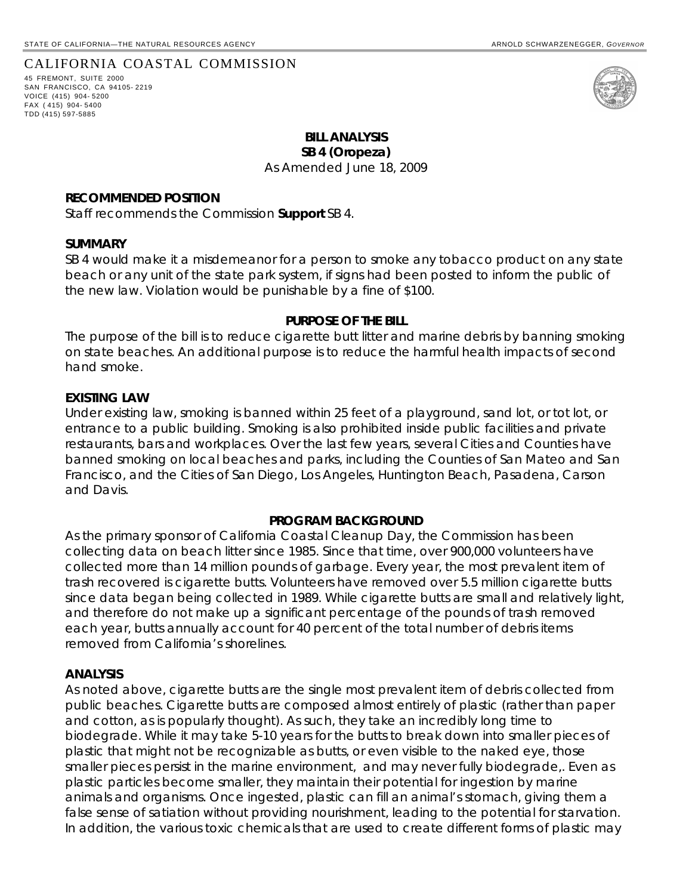#### CALIFORNIA COASTAL COMMISSION

45 FREMONT, SUITE 2000 SAN FRANCISCO, CA 94105- 2219 VOICE (415) 904- 5200 FAX ( 415) 904- 5400 TDD (415) 597-5885

#### **BILL ANALYSIS SB 4 (Oropeza)**

As Amended June 18, 2009

#### **RECOMMENDED POSITION**

Staff recommends the Commission **Support** SB 4.

#### **SUMMARY**

SB 4 would make it a misdemeanor for a person to smoke any tobacco product on any state beach or any unit of the state park system, if signs had been posted to inform the public of the new law. Violation would be punishable by a fine of \$100.

#### **PURPOSE OF THE BILL**

The purpose of the bill is to reduce cigarette butt litter and marine debris by banning smoking on state beaches. An additional purpose is to reduce the harmful health impacts of second hand smoke.

#### **EXISTING LAW**

Under existing law, smoking is banned within 25 feet of a playground, sand lot, or tot lot, or entrance to a public building. Smoking is also prohibited inside public facilities and private restaurants, bars and workplaces. Over the last few years, several Cities and Counties have banned smoking on local beaches and parks, including the Counties of San Mateo and San Francisco, and the Cities of San Diego, Los Angeles, Huntington Beach, Pasadena, Carson and Davis.

#### **PROGRAM BACKGROUND**

As the primary sponsor of California Coastal Cleanup Day, the Commission has been collecting data on beach litter since 1985. Since that time, over 900,000 volunteers have collected more than 14 million pounds of garbage. Every year, the most prevalent item of trash recovered is cigarette butts. Volunteers have removed over 5.5 million cigarette butts since data began being collected in 1989. While cigarette butts are small and relatively light, and therefore do not make up a significant percentage of the pounds of trash removed each year, butts annually account for 40 percent of the total number of debris items removed from California's shorelines.

#### **ANALYSIS**

As noted above, cigarette butts are the single most prevalent item of debris collected from public beaches. Cigarette butts are composed almost entirely of plastic (rather than paper and cotton, as is popularly thought). As such, they take an incredibly long time to biodegrade. While it may take 5-10 years for the butts to break down into smaller pieces of plastic that might not be recognizable as butts, or even visible to the naked eye, those smaller pieces persist in the marine environment, and may never fully biodegrade,. Even as plastic particles become smaller, they maintain their potential for ingestion by marine animals and organisms. Once ingested, plastic can fill an animal's stomach, giving them a false sense of satiation without providing nourishment, leading to the potential for starvation. In addition, the various toxic chemicals that are used to create different forms of plastic may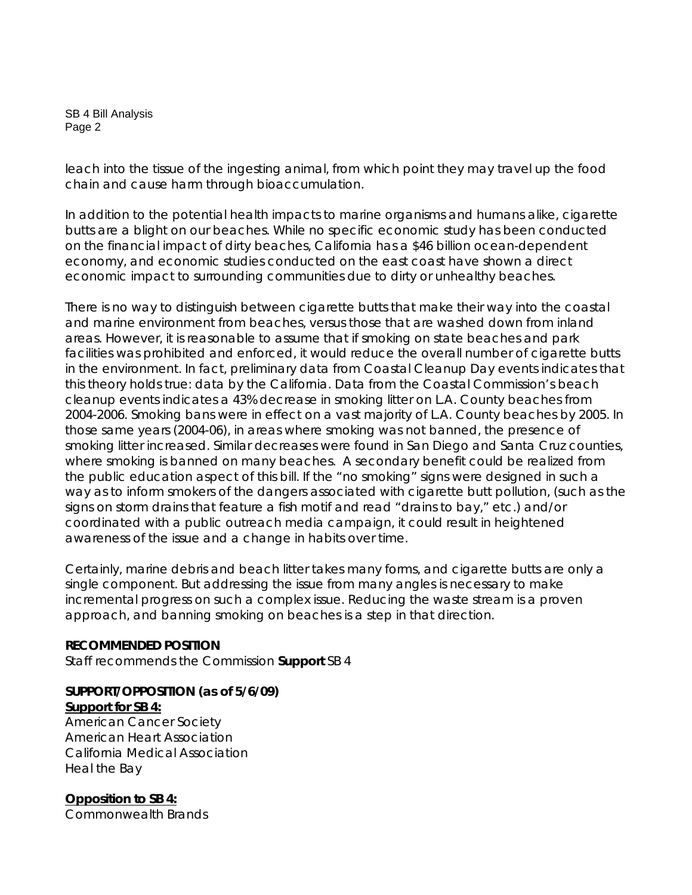#### SB 4 Bill Analysis Page 2

leach into the tissue of the ingesting animal, from which point they may travel up the food chain and cause harm through bioaccumulation.

In addition to the potential health impacts to marine organisms and humans alike, cigarette butts are a blight on our beaches. While no specific economic study has been conducted on the financial impact of dirty beaches, California has a \$46 billion ocean-dependent economy, and economic studies conducted on the east coast have shown a direct economic impact to surrounding communities due to dirty or unhealthy beaches.

There is no way to distinguish between cigarette butts that make their way into the coastal and marine environment from beaches, versus those that are washed down from inland areas. However, it is reasonable to assume that if smoking on state beaches and park facilities was prohibited and enforced, it would reduce the overall number of cigarette butts in the environment. In fact, preliminary data from Coastal Cleanup Day events indicates that this theory holds true: data by the California. Data from the Coastal Commission's beach cleanup events indicates a 43% decrease in smoking litter on L.A. County beaches from 2004-2006. Smoking bans were in effect on a vast majority of L.A. County beaches by 2005. In those same years (2004-06), in areas where smoking was not banned, the presence of smoking litter increased. Similar decreases were found in San Diego and Santa Cruz counties, where smoking is banned on many beaches. A secondary benefit could be realized from the public education aspect of this bill. If the "no smoking" signs were designed in such a way as to inform smokers of the dangers associated with cigarette butt pollution, (such as the signs on storm drains that feature a fish motif and read "drains to bay," etc.) and/or coordinated with a public outreach media campaign, it could result in heightened awareness of the issue and a change in habits over time.

Certainly, marine debris and beach litter takes many forms, and cigarette butts are only a single component. But addressing the issue from many angles is necessary to make incremental progress on such a complex issue. Reducing the waste stream is a proven approach, and banning smoking on beaches is a step in that direction.

## **RECOMMENDED POSITION**

Staff recommends the Commission **Support** SB 4

# **SUPPORT/OPPOSITION (as of 5/6/09)**

### **Support for SB 4:**

American Cancer Society American Heart Association California Medical Association Heal the Bay

**Opposition to SB 4:** Commonwealth Brands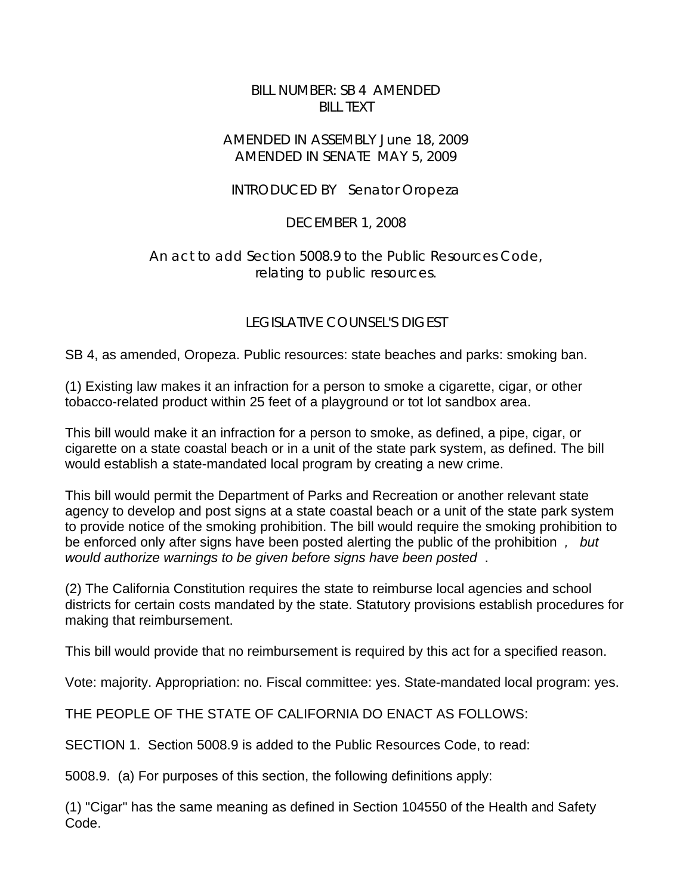# BILL NUMBER: SB 4 AMENDED BILL TEXT

# AMENDED IN ASSEMBLY June 18, 2009 AMENDED IN SENATE MAY 5, 2009

# INTRODUCED BY Senator Oropeza

# DECEMBER 1, 2008

# An act to add Section 5008.9 to the Public Resources Code, relating to public resources.

# LEGISLATIVE COUNSEL'S DIGEST

SB 4, as amended, Oropeza. Public resources: state beaches and parks: smoking ban.

(1) Existing law makes it an infraction for a person to smoke a cigarette, cigar, or other tobacco-related product within 25 feet of a playground or tot lot sandbox area.

This bill would make it an infraction for a person to smoke, as defined, a pipe, cigar, or cigarette on a state coastal beach or in a unit of the state park system, as defined. The bill would establish a state-mandated local program by creating a new crime.

This bill would permit the Department of Parks and Recreation or another relevant state agency to develop and post signs at a state coastal beach or a unit of the state park system to provide notice of the smoking prohibition. The bill would require the smoking prohibition to be enforced only after signs have been posted alerting the public of the prohibition *, but would authorize warnings to be given before signs have been posted* .

(2) The California Constitution requires the state to reimburse local agencies and school districts for certain costs mandated by the state. Statutory provisions establish procedures for making that reimbursement.

This bill would provide that no reimbursement is required by this act for a specified reason.

Vote: majority. Appropriation: no. Fiscal committee: yes. State-mandated local program: yes.

THE PEOPLE OF THE STATE OF CALIFORNIA DO ENACT AS FOLLOWS:

SECTION 1. Section 5008.9 is added to the Public Resources Code, to read:

5008.9. (a) For purposes of this section, the following definitions apply:

(1) "Cigar" has the same meaning as defined in Section 104550 of the Health and Safety Code.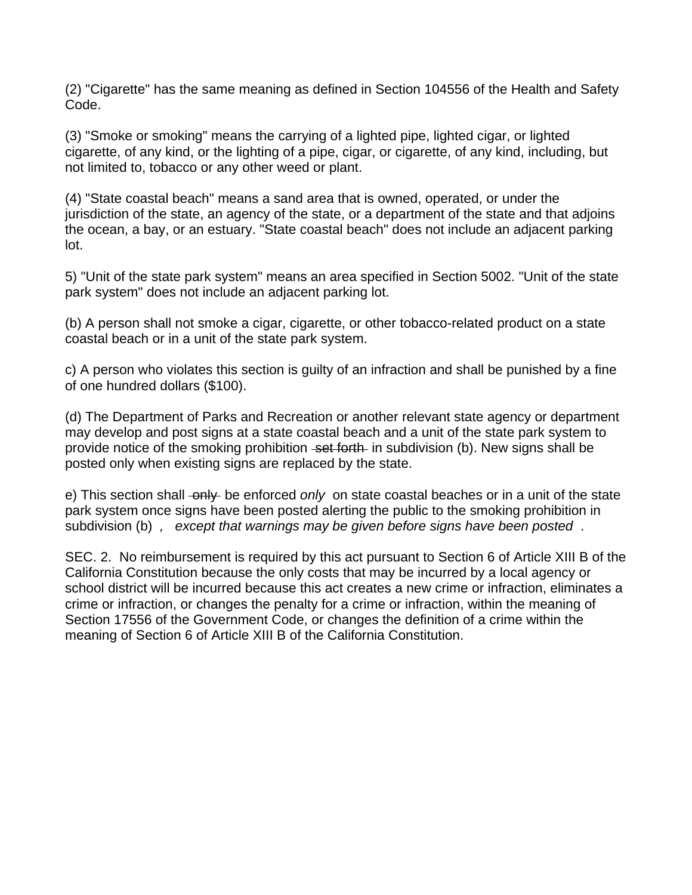(2) "Cigarette" has the same meaning as defined in Section 104556 of the Health and Safety Code.

(3) "Smoke or smoking" means the carrying of a lighted pipe, lighted cigar, or lighted cigarette, of any kind, or the lighting of a pipe, cigar, or cigarette, of any kind, including, but not limited to, tobacco or any other weed or plant.

(4) "State coastal beach" means a sand area that is owned, operated, or under the jurisdiction of the state, an agency of the state, or a department of the state and that adjoins the ocean, a bay, or an estuary. "State coastal beach" does not include an adjacent parking lot.

5) "Unit of the state park system" means an area specified in Section 5002. "Unit of the state park system" does not include an adjacent parking lot.

(b) A person shall not smoke a cigar, cigarette, or other tobacco-related product on a state coastal beach or in a unit of the state park system.

c) A person who violates this section is guilty of an infraction and shall be punished by a fine of one hundred dollars (\$100).

(d) The Department of Parks and Recreation or another relevant state agency or department may develop and post signs at a state coastal beach and a unit of the state park system to provide notice of the smoking prohibition set forth in subdivision (b). New signs shall be posted only when existing signs are replaced by the state.

e) This section shall only be enforced *only* on state coastal beaches or in a unit of the state park system once signs have been posted alerting the public to the smoking prohibition in subdivision (b) *, except that warnings may be given before signs have been posted* .

SEC. 2. No reimbursement is required by this act pursuant to Section 6 of Article XIII B of the California Constitution because the only costs that may be incurred by a local agency or school district will be incurred because this act creates a new crime or infraction, eliminates a crime or infraction, or changes the penalty for a crime or infraction, within the meaning of Section 17556 of the Government Code, or changes the definition of a crime within the meaning of Section 6 of Article XIII B of the California Constitution.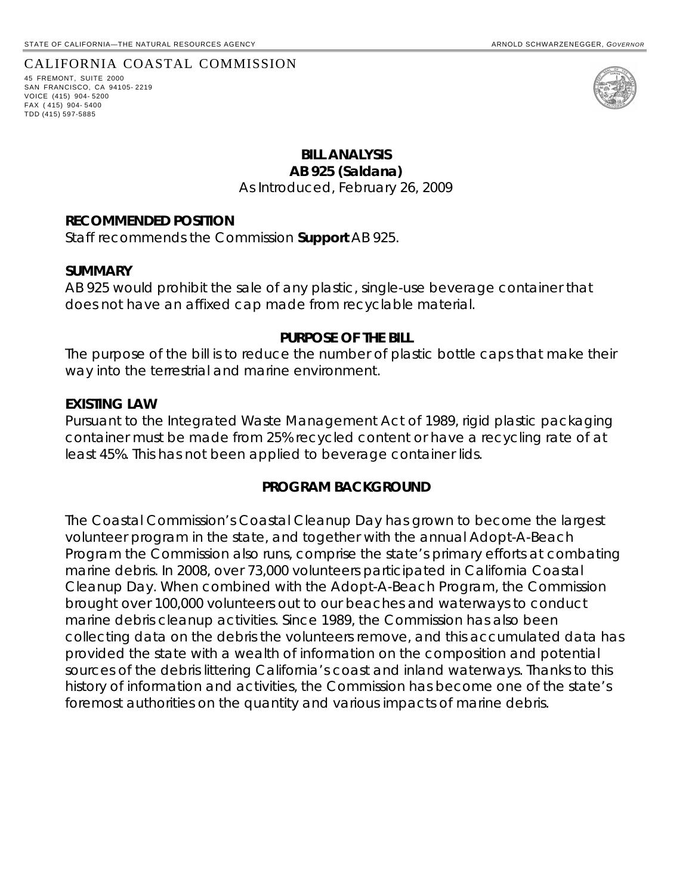### CALIFORNIA COASTAL COMMISSION

45 FREMONT, SUITE 2000 SAN FRANCISCO, CA 94105- 2219 VOICE (415) 904- 5200 FAX ( 415) 904- 5400 TDD (415) 597-5885



# **BILL ANALYSIS AB 925 (Saldana)**  As Introduced, February 26, 2009

#### **RECOMMENDED POSITION**

Staff recommends the Commission **Support** AB 925.

#### **SUMMARY**

AB 925 would prohibit the sale of any plastic, single-use beverage container that does not have an affixed cap made from recyclable material.

#### **PURPOSE OF THE BILL**

The purpose of the bill is to reduce the number of plastic bottle caps that make their way into the terrestrial and marine environment.

#### **EXISTING LAW**

Pursuant to the Integrated Waste Management Act of 1989, rigid plastic packaging container must be made from 25% recycled content or have a recycling rate of at least 45%. This has not been applied to beverage container lids.

#### **PROGRAM BACKGROUND**

The Coastal Commission's Coastal Cleanup Day has grown to become the largest volunteer program in the state, and together with the annual Adopt-A-Beach Program the Commission also runs, comprise the state's primary efforts at combating marine debris. In 2008, over 73,000 volunteers participated in California Coastal Cleanup Day. When combined with the Adopt-A-Beach Program, the Commission brought over 100,000 volunteers out to our beaches and waterways to conduct marine debris cleanup activities. Since 1989, the Commission has also been collecting data on the debris the volunteers remove, and this accumulated data has provided the state with a wealth of information on the composition and potential sources of the debris littering California's coast and inland waterways. Thanks to this history of information and activities, the Commission has become one of the state's foremost authorities on the quantity and various impacts of marine debris.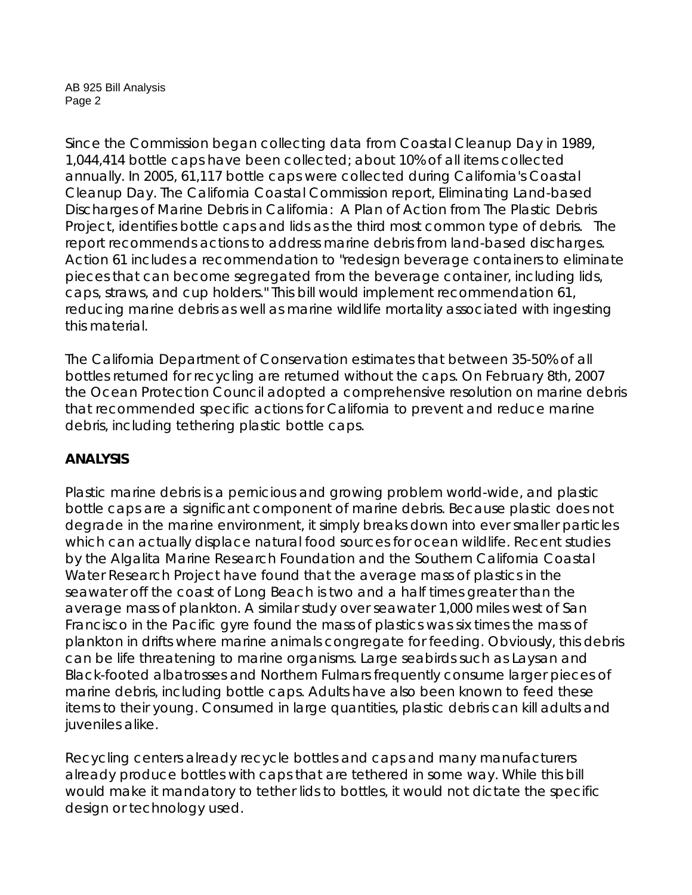AB 925 Bill Analysis Page 2

Since the Commission began collecting data from Coastal Cleanup Day in 1989, 1,044,414 bottle caps have been collected; about 10% of all items collected annually. In 2005, 61,117 bottle caps were collected during California's Coastal Cleanup Day. The California Coastal Commission report, Eliminating Land-based Discharges of Marine Debris in California: A Plan of Action from The Plastic Debris Project, identifies bottle caps and lids as the third most common type of debris. The report recommends actions to address marine debris from land-based discharges. Action 61 includes a recommendation to "redesign beverage containers to eliminate pieces that can become segregated from the beverage container, including lids, caps, straws, and cup holders." This bill would implement recommendation 61, reducing marine debris as well as marine wildlife mortality associated with ingesting this material.

The California Department of Conservation estimates that between 35-50% of all bottles returned for recycling are returned without the caps. On February 8th, 2007 the Ocean Protection Council adopted a comprehensive resolution on marine debris that recommended specific actions for California to prevent and reduce marine debris, including tethering plastic bottle caps.

# **ANALYSIS**

Plastic marine debris is a pernicious and growing problem world-wide, and plastic bottle caps are a significant component of marine debris. Because plastic does not degrade in the marine environment, it simply breaks down into ever smaller particles which can actually displace natural food sources for ocean wildlife. Recent studies by the Algalita Marine Research Foundation and the Southern California Coastal Water Research Project have found that the average mass of plastics in the seawater off the coast of Long Beach is two and a half times greater than the average mass of plankton. A similar study over seawater 1,000 miles west of San Francisco in the Pacific gyre found the mass of plastics was six times the mass of plankton in drifts where marine animals congregate for feeding. Obviously, this debris can be life threatening to marine organisms. Large seabirds such as Laysan and Black-footed albatrosses and Northern Fulmars frequently consume larger pieces of marine debris, including bottle caps. Adults have also been known to feed these items to their young. Consumed in large quantities, plastic debris can kill adults and juveniles alike.

Recycling centers already recycle bottles and caps and many manufacturers already produce bottles with caps that are tethered in some way. While this bill would make it mandatory to tether lids to bottles, it would not dictate the specific design or technology used.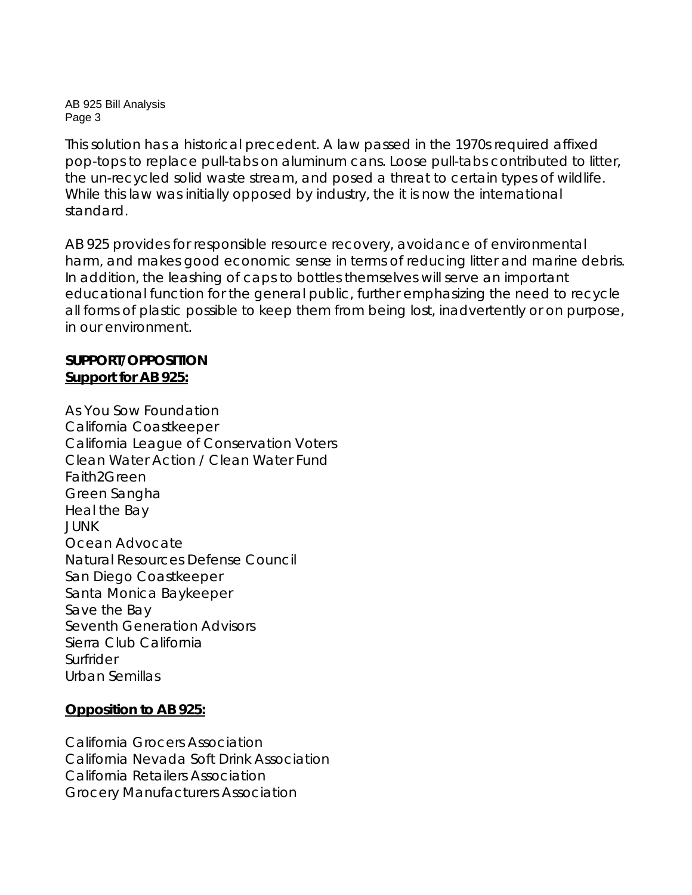AB 925 Bill Analysis Page 3

This solution has a historical precedent. A law passed in the 1970s required affixed pop-tops to replace pull-tabs on aluminum cans. Loose pull-tabs contributed to litter, the un-recycled solid waste stream, and posed a threat to certain types of wildlife. While this law was initially opposed by industry, the it is now the international standard.

AB 925 provides for responsible resource recovery, avoidance of environmental harm, and makes good economic sense in terms of reducing litter and marine debris. In addition, the leashing of caps to bottles themselves will serve an important educational function for the general public, further emphasizing the need to recycle all forms of plastic possible to keep them from being lost, inadvertently or on purpose, in our environment.

# **SUPPORT/OPPOSITION Support for AB 925:**

As You Sow Foundation California Coastkeeper California League of Conservation Voters Clean Water Action / Clean Water Fund Faith2Green Green Sangha Heal the Bay JUNK Ocean Advocate Natural Resources Defense Council San Diego Coastkeeper Santa Monica Baykeeper Save the Bay Seventh Generation Advisors Sierra Club California Surfrider Urban Semillas

# **Opposition to AB 925:**

California Grocers Association California Nevada Soft Drink Association California Retailers Association Grocery Manufacturers Association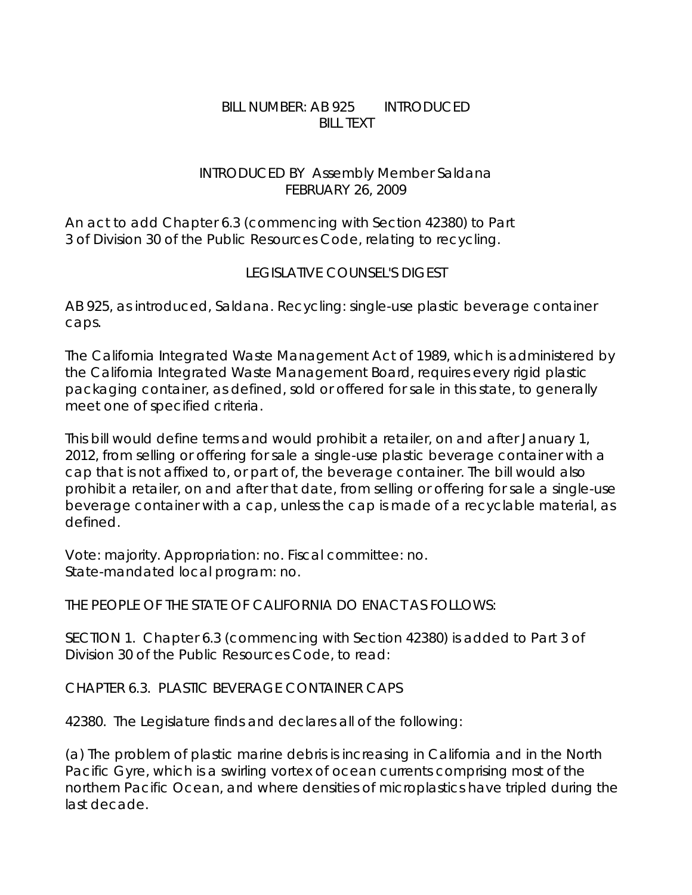# BILL NUMBER: AB 925 INTRODUCED BILL TEXT

# INTRODUCED BY Assembly Member Saldana FEBRUARY 26, 2009

An act to add Chapter 6.3 (commencing with Section 42380) to Part 3 of Division 30 of the Public Resources Code, relating to recycling.

# LEGISLATIVE COUNSEL'S DIGEST

AB 925, as introduced, Saldana. Recycling: single-use plastic beverage container caps.

The California Integrated Waste Management Act of 1989, which is administered by the California Integrated Waste Management Board, requires every rigid plastic packaging container, as defined, sold or offered for sale in this state, to generally meet one of specified criteria.

This bill would define terms and would prohibit a retailer, on and after January 1, 2012, from selling or offering for sale a single-use plastic beverage container with a cap that is not affixed to, or part of, the beverage container. The bill would also prohibit a retailer, on and after that date, from selling or offering for sale a single-use beverage container with a cap, unless the cap is made of a recyclable material, as defined.

Vote: majority. Appropriation: no. Fiscal committee: no. State-mandated local program: no.

THE PEOPLE OF THE STATE OF CALIFORNIA DO ENACT AS FOLLOWS:

SECTION 1. Chapter 6.3 (commencing with Section 42380) is added to Part 3 of Division 30 of the Public Resources Code, to read:

CHAPTER 6.3. PLASTIC BEVERAGE CONTAINER CAPS

42380. The Legislature finds and declares all of the following:

(a) The problem of plastic marine debris is increasing in California and in the North Pacific Gyre, which is a swirling vortex of ocean currents comprising most of the northern Pacific Ocean, and where densities of microplastics have tripled during the last decade.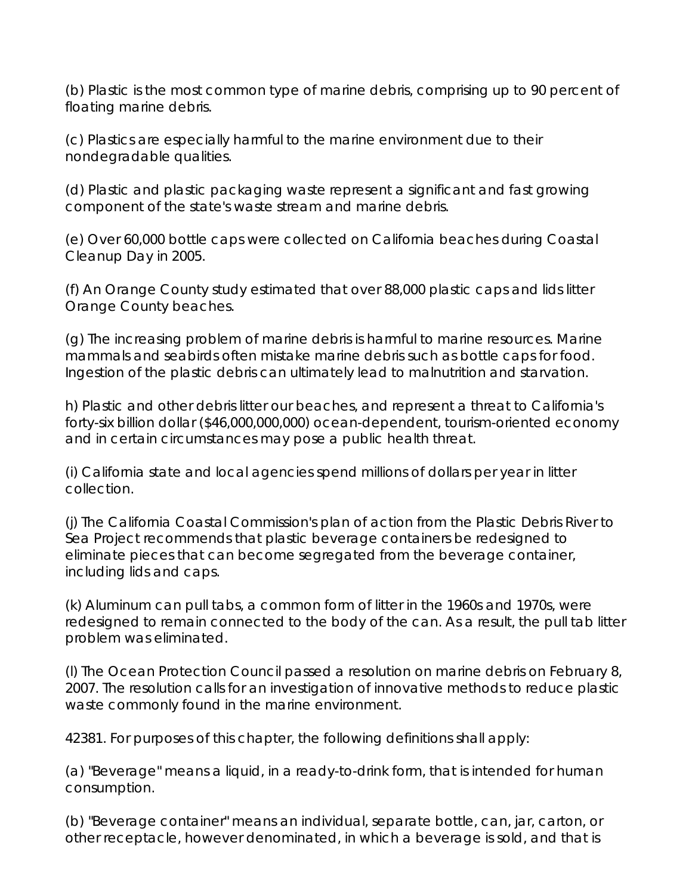(b) Plastic is the most common type of marine debris, comprising up to 90 percent of floating marine debris.

(c) Plastics are especially harmful to the marine environment due to their nondegradable qualities.

(d) Plastic and plastic packaging waste represent a significant and fast growing component of the state's waste stream and marine debris.

(e) Over 60,000 bottle caps were collected on California beaches during Coastal Cleanup Day in 2005.

(f) An Orange County study estimated that over 88,000 plastic caps and lids litter Orange County beaches.

(g) The increasing problem of marine debris is harmful to marine resources. Marine mammals and seabirds often mistake marine debris such as bottle caps for food. Ingestion of the plastic debris can ultimately lead to malnutrition and starvation.

h) Plastic and other debris litter our beaches, and represent a threat to California's forty-six billion dollar (\$46,000,000,000) ocean-dependent, tourism-oriented economy and in certain circumstances may pose a public health threat.

(i) California state and local agencies spend millions of dollars per year in litter collection.

(j) The California Coastal Commission's plan of action from the Plastic Debris River to Sea Project recommends that plastic beverage containers be redesigned to eliminate pieces that can become segregated from the beverage container, including lids and caps.

(k) Aluminum can pull tabs, a common form of litter in the 1960s and 1970s, were redesigned to remain connected to the body of the can. As a result, the pull tab litter problem was eliminated.

(l) The Ocean Protection Council passed a resolution on marine debris on February 8, 2007. The resolution calls for an investigation of innovative methods to reduce plastic waste commonly found in the marine environment.

42381. For purposes of this chapter, the following definitions shall apply:

(a) "Beverage" means a liquid, in a ready-to-drink form, that is intended for human consumption.

(b) "Beverage container" means an individual, separate bottle, can, jar, carton, or other receptacle, however denominated, in which a beverage is sold, and that is